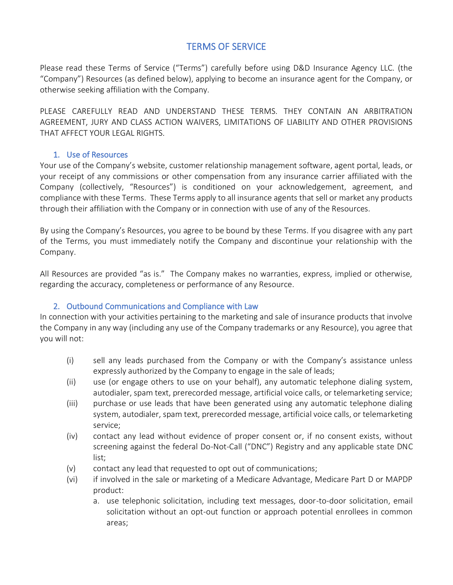# TERMS OF SERVICE

Please read these Terms of Service ("Terms") carefully before using D&D Insurance Agency LLC. (the "Company") Resources (as defined below), applying to become an insurance agent for the Company, or otherwise seeking affiliation with the Company.

PLEASE CAREFULLY READ AND UNDERSTAND THESE TERMS. THEY CONTAIN AN ARBITRATION AGREEMENT, JURY AND CLASS ACTION WAIVERS, LIMITATIONS OF LIABILITY AND OTHER PROVISIONS THAT AFFECT YOUR LEGAL RIGHTS.

# 1. Use of Resources

Your use of the Company's website, customer relationship management software, agent portal, leads, or your receipt of any commissions or other compensation from any insurance carrier affiliated with the Company (collectively, "Resources") is conditioned on your acknowledgement, agreement, and compliance with these Terms. These Terms apply to all insurance agents that sell or market any products through their affiliation with the Company or in connection with use of any of the Resources.

By using the Company's Resources, you agree to be bound by these Terms. If you disagree with any part of the Terms, you must immediately notify the Company and discontinue your relationship with the Company.

All Resources are provided "as is." The Company makes no warranties, express, implied or otherwise, regarding the accuracy, completeness or performance of any Resource.

# 2. Outbound Communications and Compliance with Law

In connection with your activities pertaining to the marketing and sale of insurance products that involve the Company in any way (including any use of the Company trademarks or any Resource), you agree that you will not:

- (i) sell any leads purchased from the Company or with the Company's assistance unless expressly authorized by the Company to engage in the sale of leads;
- (ii) use (or engage others to use on your behalf), any automatic telephone dialing system, autodialer, spam text, prerecorded message, artificial voice calls, or telemarketing service;
- (iii) purchase or use leads that have been generated using any automatic telephone dialing system, autodialer, spam text, prerecorded message, artificial voice calls, or telemarketing service;
- (iv) contact any lead without evidence of proper consent or, if no consent exists, without screening against the federal Do-Not-Call ("DNC") Registry and any applicable state DNC list;
- (v) contact any lead that requested to opt out of communications;
- (vi) if involved in the sale or marketing of a Medicare Advantage, Medicare Part D or MAPDP product:
	- a. use telephonic solicitation, including text messages, door-to-door solicitation, email solicitation without an opt-out function or approach potential enrollees in common areas;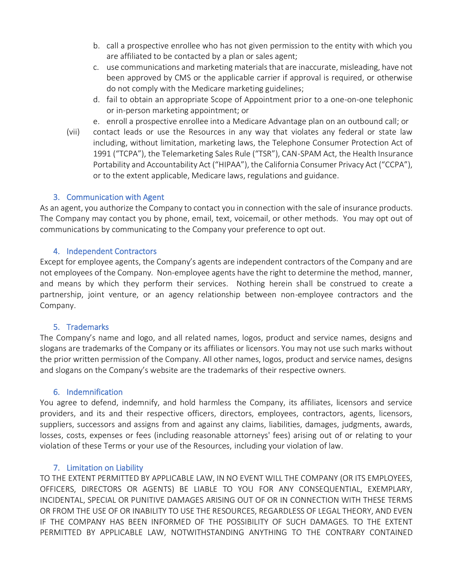- b. call a prospective enrollee who has not given permission to the entity with which you are affiliated to be contacted by a plan or sales agent;
- c. use communications and marketing materials that are inaccurate, misleading, have not been approved by CMS or the applicable carrier if approval is required, or otherwise do not comply with the Medicare marketing guidelines;
- d. fail to obtain an appropriate Scope of Appointment prior to a one-on-one telephonic or in-person marketing appointment; or
- e. enroll a prospective enrollee into a Medicare Advantage plan on an outbound call; or
- (vii) contact leads or use the Resources in any way that violates any federal or state law including, without limitation, marketing laws, the Telephone Consumer Protection Act of 1991 ("TCPA"), the Telemarketing Sales Rule ("TSR"), CAN-SPAM Act, the Health Insurance Portability and Accountability Act ("HIPAA"), the California Consumer Privacy Act ("CCPA"), or to the extent applicable, Medicare laws, regulations and guidance.

#### 3. Communication with Agent

As an agent, you authorize the Company to contact you in connection with the sale of insurance products. The Company may contact you by phone, email, text, voicemail, or other methods. You may opt out of communications by communicating to the Company your preference to opt out.

#### 4. Independent Contractors

Except for employee agents, the Company's agents are independent contractors of the Company and are not employees of the Company. Non-employee agents have the right to determine the method, manner, and means by which they perform their services. Nothing herein shall be construed to create a partnership, joint venture, or an agency relationship between non-employee contractors and the Company.

#### 5. Trademarks

The Company's name and logo, and all related names, logos, product and service names, designs and slogans are trademarks of the Company or its affiliates or licensors. You may not use such marks without the prior written permission of the Company. All other names, logos, product and service names, designs and slogans on the Company's website are the trademarks of their respective owners.

#### 6. Indemnification

You agree to defend, indemnify, and hold harmless the Company, its affiliates, licensors and service providers, and its and their respective officers, directors, employees, contractors, agents, licensors, suppliers, successors and assigns from and against any claims, liabilities, damages, judgments, awards, losses, costs, expenses or fees (including reasonable attorneys' fees) arising out of or relating to your violation of these Terms or your use of the Resources, including your violation of law.

#### 7. Limitation on Liability

TO THE EXTENT PERMITTED BY APPLICABLE LAW, IN NO EVENT WILL THE COMPANY (OR ITS EMPLOYEES, OFFICERS, DIRECTORS OR AGENTS) BE LIABLE TO YOU FOR ANY CONSEQUENTIAL, EXEMPLARY, INCIDENTAL, SPECIAL OR PUNITIVE DAMAGES ARISING OUT OF OR IN CONNECTION WITH THESE TERMS OR FROM THE USE OF OR INABILITY TO USE THE RESOURCES, REGARDLESS OF LEGAL THEORY, AND EVEN IF THE COMPANY HAS BEEN INFORMED OF THE POSSIBILITY OF SUCH DAMAGES. TO THE EXTENT PERMITTED BY APPLICABLE LAW, NOTWITHSTANDING ANYTHING TO THE CONTRARY CONTAINED